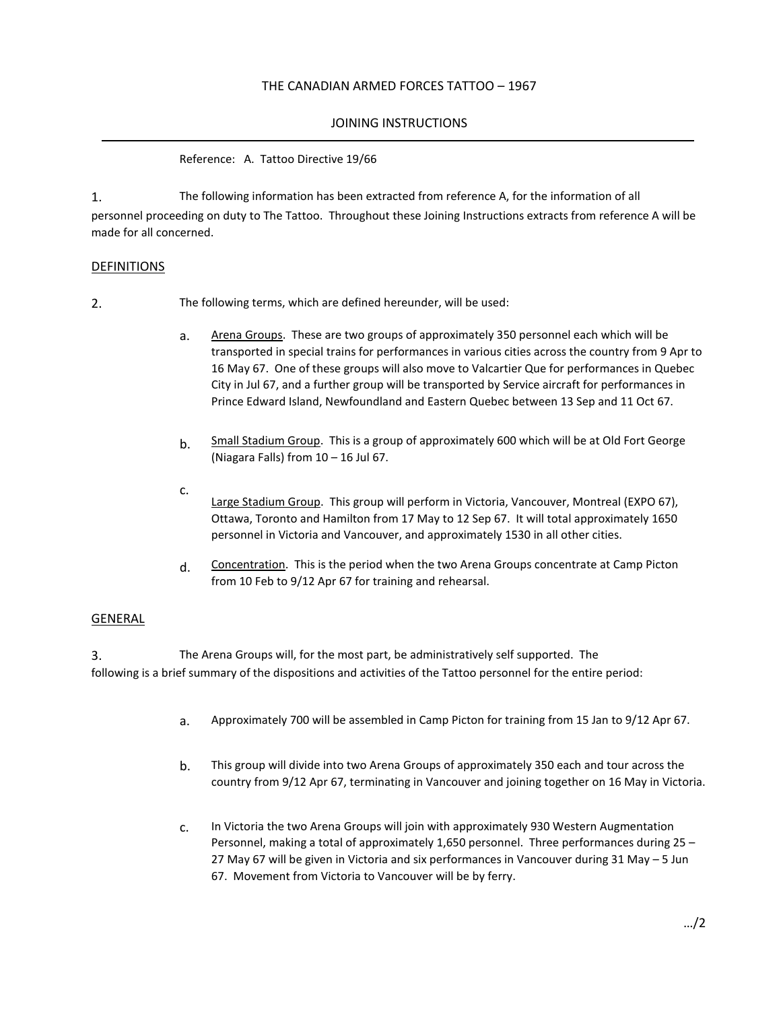## THE CANADIAN ARMED FORCES TATTOO – 1967

## JOINING INSTRUCTIONS

Reference: A. Tattoo Directive 19/66

1. personnel proceeding on duty to The Tattoo. Throughout these Joining Instructions extracts from reference A will be made for all concerned. The following information has been extracted from reference A, for the information of all

## DEFINITIONS

2. The following terms, which are defined hereunder, will be used:

- a. Arena Groups. These are two groups of approximately 350 personnel each which will be transported in special trains for performances in various cities across the country from 9 Apr to 16 May 67. One of these groups will also move to Valcartier Que for performances in Quebec City in Jul 67, and a further group will be transported by Service aircraft for performances in Prince Edward Island, Newfoundland and Eastern Quebec between 13 Sep and 11 Oct 67.
- b. Small Stadium Group. This is a group of approximately 600 which will be at Old Fort George (Niagara Falls) from 10 – 16 Jul 67.
- c. Large Stadium Group. This group will perform in Victoria, Vancouver, Montreal (EXPO 67), Ottawa, Toronto and Hamilton from 17 May to 12 Sep 67. It will total approximately 1650 personnel in Victoria and Vancouver, and approximately 1530 in all other cities.
- $d.$  Concentration. This is the period when the two Arena Groups concentrate at Camp Picton from 10 Feb to 9/12 Apr 67 for training and rehearsal.

### GENERAL

3. The Arena Groups will, for the most part, be administratively self supported. The following is a brief summary of the dispositions and activities of the Tattoo personnel for the entire period:

- a. Approximately 700 will be assembled in Camp Picton for training from 15 Jan to 9/12 Apr 67.
- b. This group will divide into two Arena Groups of approximately 350 each and tour across the country from 9/12 Apr 67, terminating in Vancouver and joining together on 16 May in Victoria.
- c. In Victoria the two Arena Groups will join with approximately 930 Western Augmentation Personnel, making a total of approximately 1,650 personnel. Three performances during 25 – 27 May 67 will be given in Victoria and six performances in Vancouver during 31 May – 5 Jun 67. Movement from Victoria to Vancouver will be by ferry.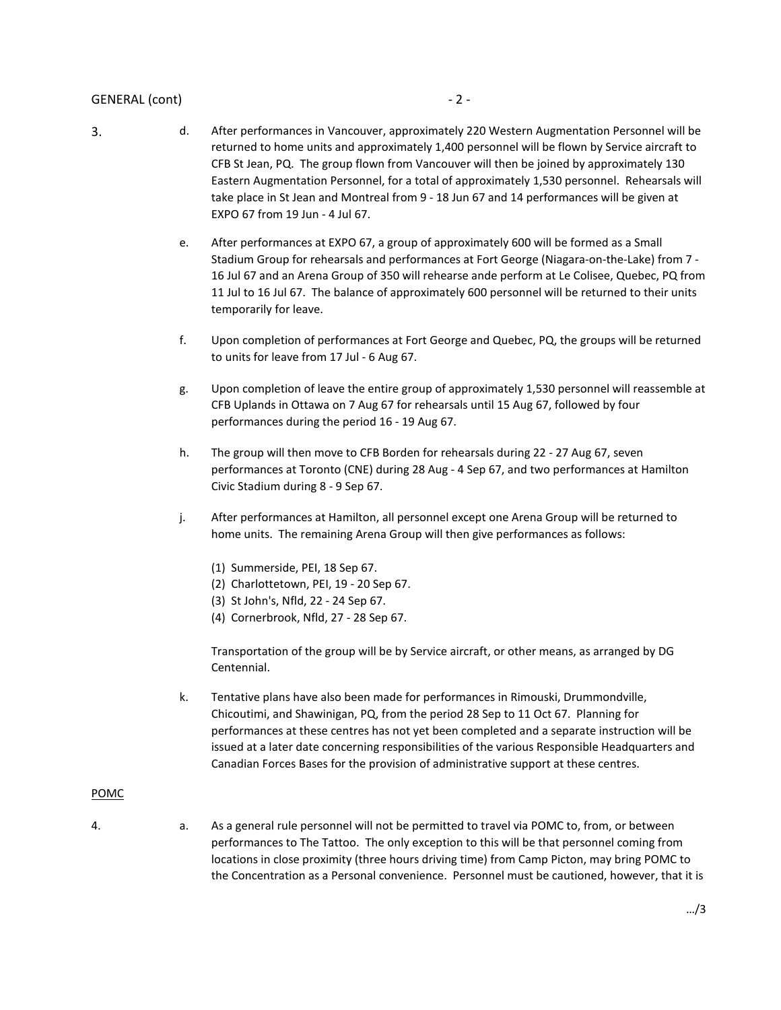## GENERAL (cont) and a set of the set of the set of the set of the set of the set of the set of the set of the set of the set of the set of the set of the set of the set of the set of the set of the set of the set of the set

- 
- 3. d. After performances in Vancouver, approximately 220 Western Augmentation Personnel will be returned to home units and approximately 1,400 personnel will be flown by Service aircraft to CFB St Jean, PQ. The group flown from Vancouver will then be joined by approximately 130 Eastern Augmentation Personnel, for a total of approximately 1,530 personnel. Rehearsals will take place in St Jean and Montreal from 9 - 18 Jun 67 and 14 performances will be given at EXPO 67 from 19 Jun - 4 Jul 67.
	- e. After performances at EXPO 67, a group of approximately 600 will be formed as a Small Stadium Group for rehearsals and performances at Fort George (Niagara-on-the-Lake) from 7 - 16 Jul 67 and an Arena Group of 350 will rehearse ande perform at Le Colisee, Quebec, PQ from 11 Jul to 16 Jul 67. The balance of approximately 600 personnel will be returned to their units temporarily for leave.
	- f. Upon completion of performances at Fort George and Quebec, PQ, the groups will be returned to units for leave from 17 Jul - 6 Aug 67.
	- g. Upon completion of leave the entire group of approximately 1,530 personnel will reassemble at CFB Uplands in Ottawa on 7 Aug 67 for rehearsals until 15 Aug 67, followed by four performances during the period 16 - 19 Aug 67.
	- h. The group will then move to CFB Borden for rehearsals during 22 27 Aug 67, seven performances at Toronto (CNE) during 28 Aug - 4 Sep 67, and two performances at Hamilton Civic Stadium during 8 - 9 Sep 67.
	- j. After performances at Hamilton, all personnel except one Arena Group will be returned to home units. The remaining Arena Group will then give performances as follows:
		- (1) Summerside, PEI, 18 Sep 67.
		- (2) Charlottetown, PEI, 19 20 Sep 67.
		- (3) St John's, Nfld, 22 24 Sep 67.
		- (4) Cornerbrook, Nfld, 27 28 Sep 67.

Transportation of the group will be by Service aircraft, or other means, as arranged by DG Centennial.

k. Tentative plans have also been made for performances in Rimouski, Drummondville, Chicoutimi, and Shawinigan, PQ, from the period 28 Sep to 11 Oct 67. Planning for performances at these centres has not yet been completed and a separate instruction will be issued at a later date concerning responsibilities of the various Responsible Headquarters and Canadian Forces Bases for the provision of administrative support at these centres.

### POMC

- 
- 4. a. As a general rule personnel will not be permitted to travel via POMC to, from, or between performances to The Tattoo. The only exception to this will be that personnel coming from locations in close proximity (three hours driving time) from Camp Picton, may bring POMC to the Concentration as a Personal convenience. Personnel must be cautioned, however, that it is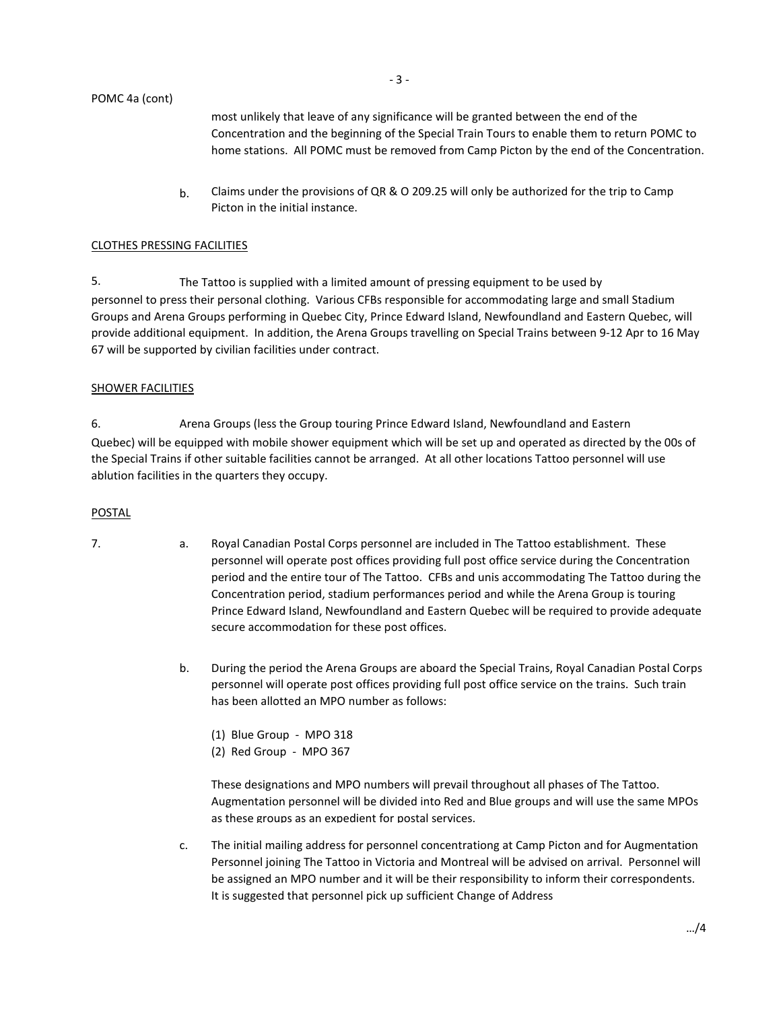most unlikely that leave of any significance will be granted between the end of the Concentration and the beginning of the Special Train Tours to enable them to return POMC to home stations. All POMC must be removed from Camp Picton by the end of the Concentration.

 $b.$  Claims under the provisions of QR & O 209.25 will only be authorized for the trip to Camp Picton in the initial instance.

#### CLOTHES PRESSING FACILITIES

5. personnel to press their personal clothing. Various CFBs responsible for accommodating large and small Stadium Groups and Arena Groups performing in Quebec City, Prince Edward Island, Newfoundland and Eastern Quebec, will provide additional equipment. In addition, the Arena Groups travelling on Special Trains between 9-12 Apr to 16 May 67 will be supported by civilian facilities under contract. The Tattoo is supplied with a limited amount of pressing equipment to be used by

#### SHOWER FACILITIES

6. Quebec) will be equipped with mobile shower equipment which will be set up and operated as directed by the 00s of the Special Trains if other suitable facilities cannot be arranged. At all other locations Tattoo personnel will use ablution facilities in the quarters they occupy. Arena Groups (less the Group touring Prince Edward Island, Newfoundland and Eastern

#### POSTAL

- 7. a. Royal Canadian Postal Corps personnel are included in The Tattoo establishment. These personnel will operate post offices providing full post office service during the Concentration period and the entire tour of The Tattoo. CFBs and unis accommodating The Tattoo during the Concentration period, stadium performances period and while the Arena Group is touring Prince Edward Island, Newfoundland and Eastern Quebec will be required to provide adequate secure accommodation for these post offices.
	- b. During the period the Arena Groups are aboard the Special Trains, Royal Canadian Postal Corps personnel will operate post offices providing full post office service on the trains. Such train has been allotted an MPO number as follows:
		- (1) Blue Group MPO 318
		- (2) Red Group MPO 367

These designations and MPO numbers will prevail throughout all phases of The Tattoo. Augmentation personnel will be divided into Red and Blue groups and will use the same MPOs as these groups as an expedient for postal services.

c. The initial mailing address for personnel concentrationg at Camp Picton and for Augmentation Personnel joining The Tattoo in Victoria and Montreal will be advised on arrival. Personnel will be assigned an MPO number and it will be their responsibility to inform their correspondents. It is suggested that personnel pick up sufficient Change of Address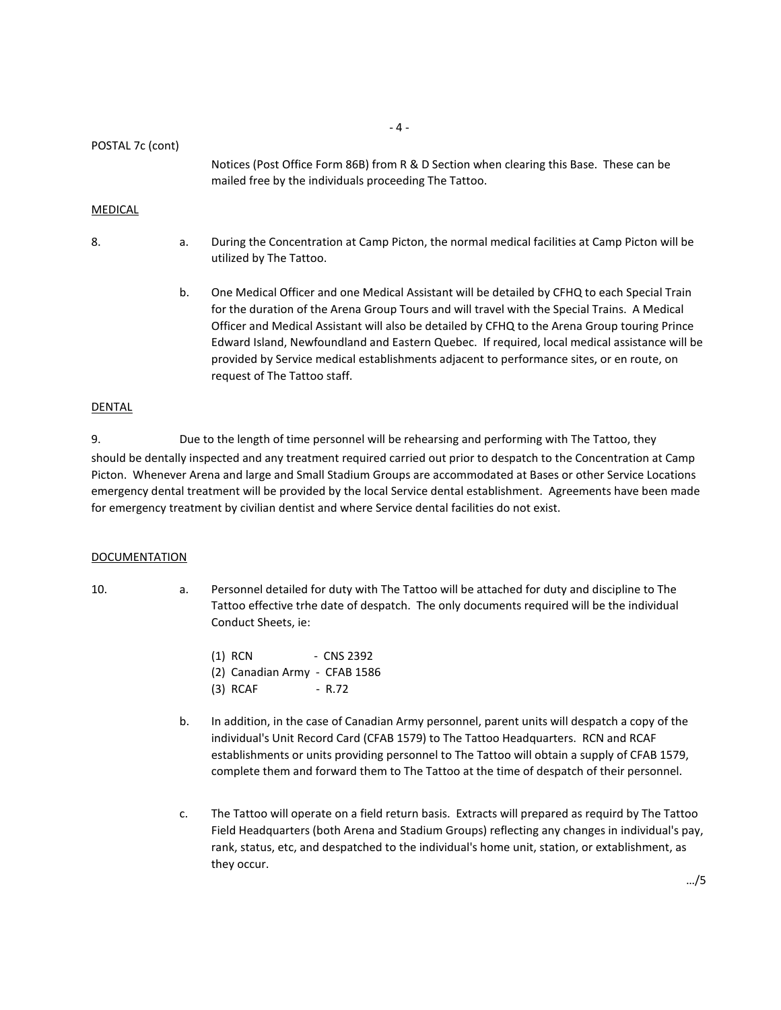POSTAL 7c (cont)

Notices (Post Office Form 86B) from R & D Section when clearing this Base. These can be mailed free by the individuals proceeding The Tattoo.

### MEDICAL

8. **a.** During the Concentration at Camp Picton, the normal medical facilities at Camp Picton will be utilized by The Tattoo.

> b. One Medical Officer and one Medical Assistant will be detailed by CFHQ to each Special Train for the duration of the Arena Group Tours and will travel with the Special Trains. A Medical Officer and Medical Assistant will also be detailed by CFHQ to the Arena Group touring Prince Edward Island, Newfoundland and Eastern Quebec. If required, local medical assistance will be provided by Service medical establishments adjacent to performance sites, or en route, on request of The Tattoo staff.

#### DENTAL

9. Due to the length of time personnel will be rehearsing and performing with The Tattoo, they should be dentally inspected and any treatment required carried out prior to despatch to the Concentration at Camp Picton. Whenever Arena and large and Small Stadium Groups are accommodated at Bases or other Service Locations emergency dental treatment will be provided by the local Service dental establishment. Agreements have been made for emergency treatment by civilian dentist and where Service dental facilities do not exist.

#### DOCUMENTATION

- 10. a. Personnel detailed for duty with The Tattoo will be attached for duty and discipline to The Tattoo effective trhe date of despatch. The only documents required will be the individual Conduct Sheets, ie:
	- (1) RCN CNS 2392 (2) Canadian Army - CFAB 1586 (3) RCAF - R.72
	- b. In addition, in the case of Canadian Army personnel, parent units will despatch a copy of the individual's Unit Record Card (CFAB 1579) to The Tattoo Headquarters. RCN and RCAF establishments or units providing personnel to The Tattoo will obtain a supply of CFAB 1579, complete them and forward them to The Tattoo at the time of despatch of their personnel.
	- c. The Tattoo will operate on a field return basis. Extracts will prepared as requird by The Tattoo Field Headquarters (both Arena and Stadium Groups) reflecting any changes in individual's pay, rank, status, etc, and despatched to the individual's home unit, station, or extablishment, as they occur.

- 4 -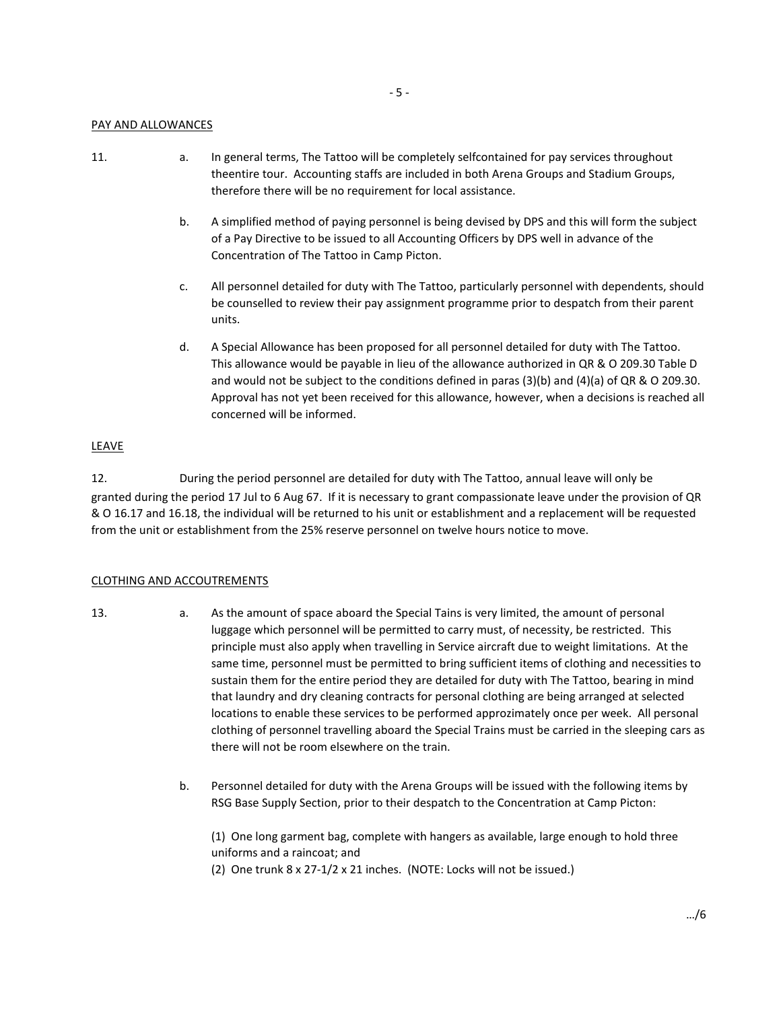## PAY AND ALLOWANCES

- 
- 11. a. In general terms, The Tattoo will be completely selfcontained for pay services throughout theentire tour. Accounting staffs are included in both Arena Groups and Stadium Groups, therefore there will be no requirement for local assistance.
	- b. A simplified method of paying personnel is being devised by DPS and this will form the subject of a Pay Directive to be issued to all Accounting Officers by DPS well in advance of the Concentration of The Tattoo in Camp Picton.
	- c. All personnel detailed for duty with The Tattoo, particularly personnel with dependents, should be counselled to review their pay assignment programme prior to despatch from their parent units.
	- d. A Special Allowance has been proposed for all personnel detailed for duty with The Tattoo. This allowance would be payable in lieu of the allowance authorized in QR & O 209.30 Table D and would not be subject to the conditions defined in paras (3)(b) and (4)(a) of QR & O 209.30. Approval has not yet been received for this allowance, however, when a decisions is reached all concerned will be informed.

#### LEAVE

12. During the period personnel are detailed for duty with The Tattoo, annual leave will only be granted during the period 17 Jul to 6 Aug 67. If it is necessary to grant compassionate leave under the provision of QR & O 16.17 and 16.18, the individual will be returned to his unit or establishment and a replacement will be requested from the unit or establishment from the 25% reserve personnel on twelve hours notice to move.

## CLOTHING AND ACCOUTREMENTS

- 
- 13. a. As the amount of space aboard the Special Tains is very limited, the amount of personal luggage which personnel will be permitted to carry must, of necessity, be restricted. This principle must also apply when travelling in Service aircraft due to weight limitations. At the same time, personnel must be permitted to bring sufficient items of clothing and necessities to sustain them for the entire period they are detailed for duty with The Tattoo, bearing in mind that laundry and dry cleaning contracts for personal clothing are being arranged at selected locations to enable these services to be performed approzimately once per week. All personal clothing of personnel travelling aboard the Special Trains must be carried in the sleeping cars as there will not be room elsewhere on the train.
	- b. Personnel detailed for duty with the Arena Groups will be issued with the following items by RSG Base Supply Section, prior to their despatch to the Concentration at Camp Picton:

(1) One long garment bag, complete with hangers as available, large enough to hold three uniforms and a raincoat; and

(2) One trunk 8 x 27-1/2 x 21 inches. (NOTE: Locks will not be issued.)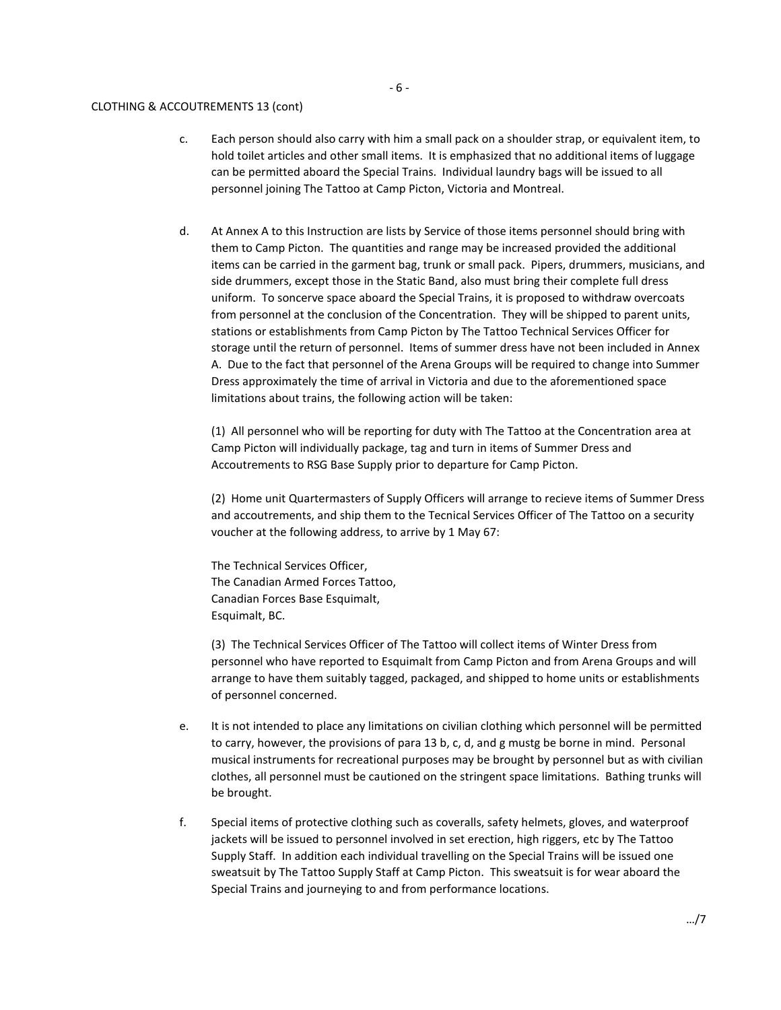#### CLOTHING & ACCOUTREMENTS 13 (cont)

- c. Each person should also carry with him a small pack on a shoulder strap, or equivalent item, to hold toilet articles and other small items. It is emphasized that no additional items of luggage can be permitted aboard the Special Trains. Individual laundry bags will be issued to all personnel joining The Tattoo at Camp Picton, Victoria and Montreal.
- d. At Annex A to this Instruction are lists by Service of those items personnel should bring with them to Camp Picton. The quantities and range may be increased provided the additional items can be carried in the garment bag, trunk or small pack. Pipers, drummers, musicians, and side drummers, except those in the Static Band, also must bring their complete full dress uniform. To soncerve space aboard the Special Trains, it is proposed to withdraw overcoats from personnel at the conclusion of the Concentration. They will be shipped to parent units, stations or establishments from Camp Picton by The Tattoo Technical Services Officer for storage until the return of personnel. Items of summer dress have not been included in Annex A. Due to the fact that personnel of the Arena Groups will be required to change into Summer Dress approximately the time of arrival in Victoria and due to the aforementioned space limitations about trains, the following action will be taken:

(1) All personnel who will be reporting for duty with The Tattoo at the Concentration area at Camp Picton will individually package, tag and turn in items of Summer Dress and Accoutrements to RSG Base Supply prior to departure for Camp Picton.

(2) Home unit Quartermasters of Supply Officers will arrange to recieve items of Summer Dress and accoutrements, and ship them to the Tecnical Services Officer of The Tattoo on a security voucher at the following address, to arrive by 1 May 67:

The Technical Services Officer, The Canadian Armed Forces Tattoo, Canadian Forces Base Esquimalt, Esquimalt, BC.

(3) The Technical Services Officer of The Tattoo will collect items of Winter Dress from personnel who have reported to Esquimalt from Camp Picton and from Arena Groups and will arrange to have them suitably tagged, packaged, and shipped to home units or establishments of personnel concerned.

- e. It is not intended to place any limitations on civilian clothing which personnel will be permitted to carry, however, the provisions of para 13 b, c, d, and g mustg be borne in mind. Personal musical instruments for recreational purposes may be brought by personnel but as with civilian clothes, all personnel must be cautioned on the stringent space limitations. Bathing trunks will be brought.
- f. Special items of protective clothing such as coveralls, safety helmets, gloves, and waterproof jackets will be issued to personnel involved in set erection, high riggers, etc by The Tattoo Supply Staff. In addition each individual travelling on the Special Trains will be issued one sweatsuit by The Tattoo Supply Staff at Camp Picton. This sweatsuit is for wear aboard the Special Trains and journeying to and from performance locations.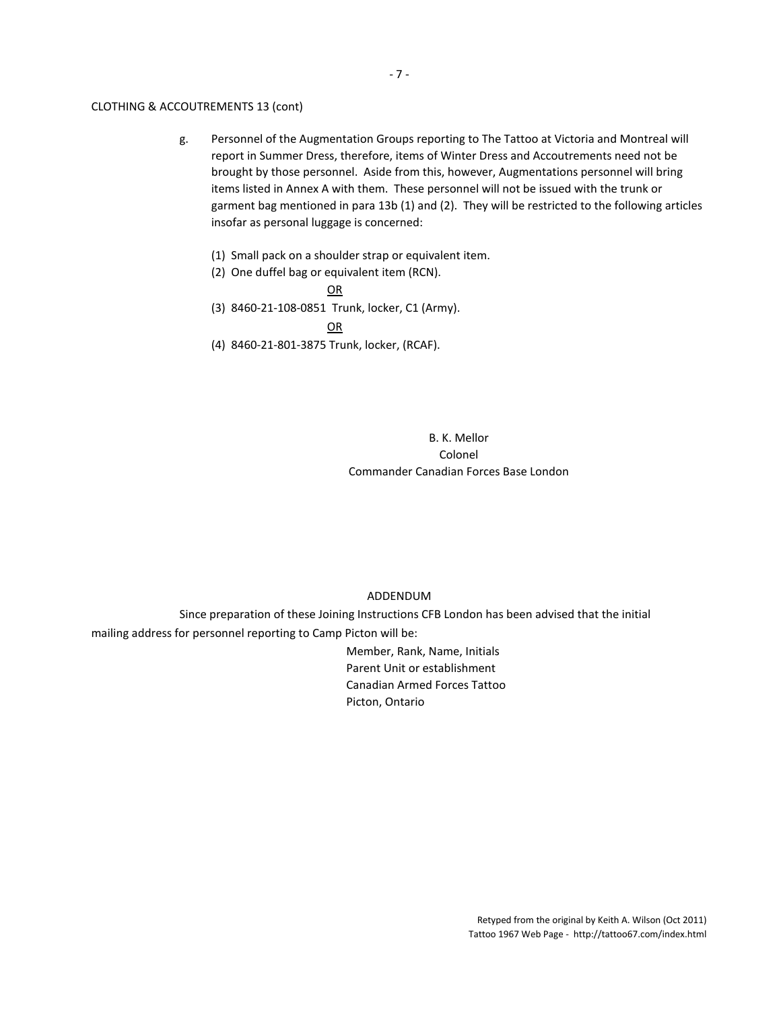#### CLOTHING & ACCOUTREMENTS 13 (cont)

- g. Personnel of the Augmentation Groups reporting to The Tattoo at Victoria and Montreal will report in Summer Dress, therefore, items of Winter Dress and Accoutrements need not be brought by those personnel. Aside from this, however, Augmentations personnel will bring items listed in Annex A with them. These personnel will not be issued with the trunk or garment bag mentioned in para 13b (1) and (2). They will be restricted to the following articles insofar as personal luggage is concerned:
	- (1) Small pack on a shoulder strap or equivalent item.
	- (2) One duffel bag or equivalent item (RCN).
		- OR
	- (3) 8460-21-108-0851 Trunk, locker, C1 (Army).

OR

(4) 8460-21-801-3875 Trunk, locker, (RCAF).

B. K. Mellor Colonel Commander Canadian Forces Base London

## ADDENDUM

Since preparation of these Joining Instructions CFB London has been advised that the initial mailing address for personnel reporting to Camp Picton will be:

> Member, Rank, Name, Initials Parent Unit or establishment Canadian Armed Forces Tattoo Picton, Ontario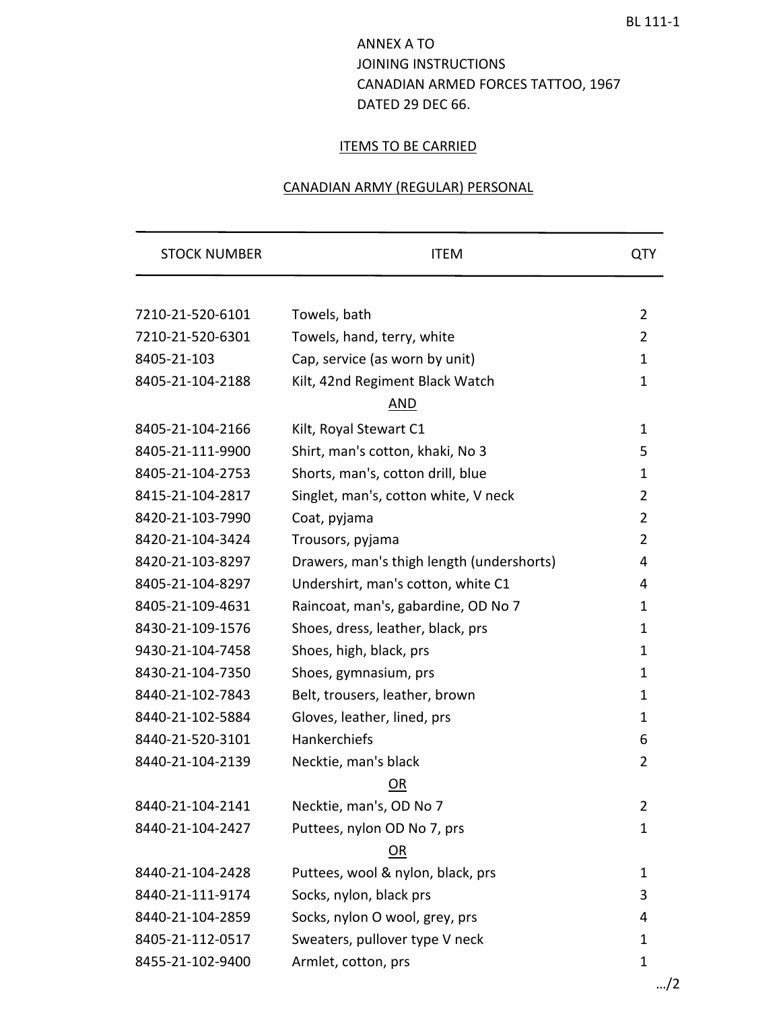# ANNEX A TO JOINING INSTRUCTIONS CANADIAN ARMED FORCES TATTOO, 1967 DATED 29 DEC 66.

## **ITEMS TO BE CARRIED**

## CANADIAN ARMY (REGULAR) PERSONAL

| <b>STOCK NUMBER</b> | <b>ITEM</b>                               | <b>QTY</b>     |
|---------------------|-------------------------------------------|----------------|
|                     |                                           |                |
| 7210-21-520-6101    | Towels, bath                              | $\overline{2}$ |
| 7210-21-520-6301    | Towels, hand, terry, white                | 2              |
| 8405-21-103         | Cap, service (as worn by unit)            | $\mathbf{1}$   |
| 8405-21-104-2188    | Kilt, 42nd Regiment Black Watch           | $\mathbf{1}$   |
|                     | AND                                       |                |
| 8405-21-104-2166    | Kilt, Royal Stewart C1                    | $\mathbf{1}$   |
| 8405-21-111-9900    | Shirt, man's cotton, khaki, No 3          | 5              |
| 8405-21-104-2753    | Shorts, man's, cotton drill, blue         | $\mathbf{1}$   |
| 8415-21-104-2817    | Singlet, man's, cotton white, V neck      | $\overline{2}$ |
| 8420-21-103-7990    | Coat, pyjama                              | $\overline{2}$ |
| 8420-21-104-3424    | Trousors, pyjama                          | $\overline{2}$ |
| 8420-21-103-8297    | Drawers, man's thigh length (undershorts) | 4              |
| 8405-21-104-8297    | Undershirt, man's cotton, white C1        | 4              |
| 8405-21-109-4631    | Raincoat, man's, gabardine, OD No 7       | 1              |
| 8430-21-109-1576    | Shoes, dress, leather, black, prs         | 1              |
| 9430-21-104-7458    | Shoes, high, black, prs                   | $\mathbf{1}$   |
| 8430-21-104-7350    | Shoes, gymnasium, prs                     | $\mathbf{1}$   |
| 8440-21-102-7843    | Belt, trousers, leather, brown            | 1              |
| 8440-21-102-5884    | Gloves, leather, lined, prs               | 1              |
| 8440-21-520-3101    | Hankerchiefs                              | 6              |
| 8440-21-104-2139    | Necktie, man's black                      | 2              |
|                     | <u>OR</u>                                 |                |
| 8440-21-104-2141    | Necktie, man's, OD No 7                   | $\overline{2}$ |
| 8440-21-104-2427    | Puttees, nylon OD No 7, prs               | $\mathbf{1}$   |
|                     | <u>OR</u>                                 |                |
| 8440-21-104-2428    | Puttees, wool & nylon, black, prs         | $\mathbf{1}$   |
| 8440-21-111-9174    | Socks, nylon, black prs                   | 3              |
| 8440-21-104-2859    | Socks, nylon O wool, grey, prs            | 4              |
| 8405-21-112-0517    | Sweaters, pullover type V neck            | 1              |
| 8455-21-102-9400    | Armlet, cotton, prs                       | 1              |
|                     |                                           | /2             |